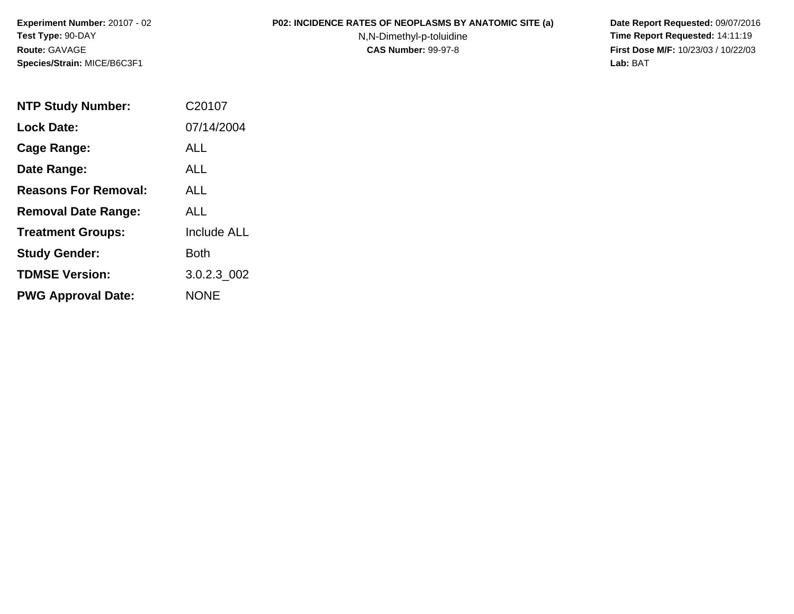## **P02: INCIDENCE RATES OF NEOPLASMS BY ANATOMIC SITE (a) Date Report Requested:** 09/07/2016

N,N-Dimethyl-p-toluidine

 **Time Report Requested:** 14:11:19 **First Dose M/F:** 10/23/03 / 10/22/03<br>Lab: BAT **Lab:** BAT

| <b>NTP Study Number:</b>    | C20107             |
|-----------------------------|--------------------|
| <b>Lock Date:</b>           | 07/14/2004         |
| <b>Cage Range:</b>          | ALL                |
| Date Range:                 | <b>ALL</b>         |
| <b>Reasons For Removal:</b> | ALL.               |
| <b>Removal Date Range:</b>  | ALL                |
| <b>Treatment Groups:</b>    | <b>Include ALL</b> |
| <b>Study Gender:</b>        | Both               |
| <b>TDMSE Version:</b>       | 3.0.2.3 002        |
| <b>PWG Approval Date:</b>   | <b>NONE</b>        |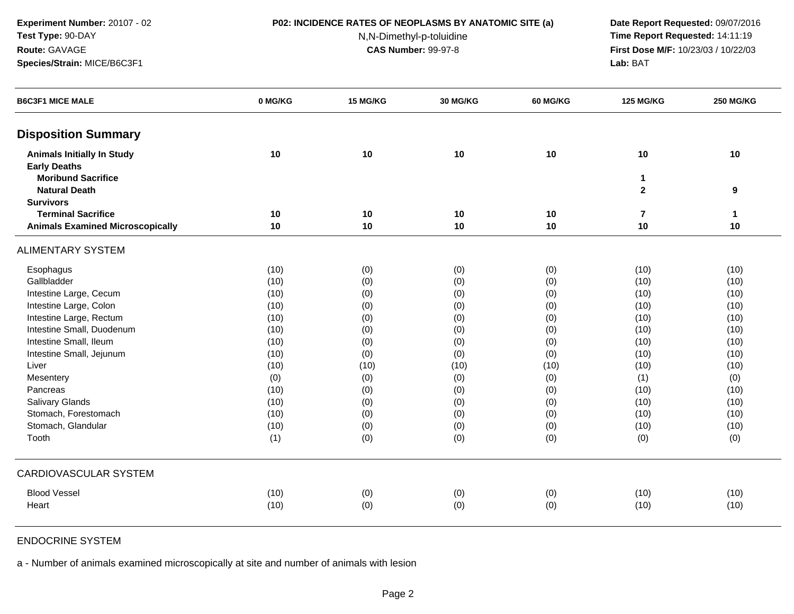## **P02: INCIDENCE RATES OF NEOPLASMS BY ANATOMIC SITE (a) Date Report Requested:** 09/07/2016

N,N-Dimethyl-p-toluidine

 **Time Report Requested:** 14:11:19 **First Dose M/F:** 10/23/03 / 10/22/03<br>**Lab:** BAT **Lab:** BAT

| <b>B6C3F1 MICE MALE</b>                 | 0 MG/KG | 15 MG/KG | <b>30 MG/KG</b> | <b>60 MG/KG</b> | <b>125 MG/KG</b>        | <b>250 MG/KG</b> |
|-----------------------------------------|---------|----------|-----------------|-----------------|-------------------------|------------------|
| <b>Disposition Summary</b>              |         |          |                 |                 |                         |                  |
| <b>Animals Initially In Study</b>       | 10      | 10       | 10              | 10              | 10                      | 10               |
| <b>Early Deaths</b>                     |         |          |                 |                 |                         |                  |
| <b>Moribund Sacrifice</b>               |         |          |                 |                 | 1                       |                  |
| <b>Natural Death</b>                    |         |          |                 |                 | $\mathbf{2}$            | 9                |
| <b>Survivors</b>                        |         |          |                 |                 |                         |                  |
| <b>Terminal Sacrifice</b>               | 10      | 10       | 10              | 10              | $\overline{\mathbf{r}}$ | $\mathbf{1}$     |
| <b>Animals Examined Microscopically</b> | 10      | 10       | 10              | 10              | 10                      | 10               |
| <b>ALIMENTARY SYSTEM</b>                |         |          |                 |                 |                         |                  |
| Esophagus                               | (10)    | (0)      | (0)             | (0)             | (10)                    | (10)             |
| Gallbladder                             | (10)    | (0)      | (0)             | (0)             | (10)                    | (10)             |
| Intestine Large, Cecum                  | (10)    | (0)      | (0)             | (0)             | (10)                    | (10)             |
| Intestine Large, Colon                  | (10)    | (0)      | (0)             | (0)             | (10)                    | (10)             |
| Intestine Large, Rectum                 | (10)    | (0)      | (0)             | (0)             | (10)                    | (10)             |
| Intestine Small, Duodenum               | (10)    | (0)      | (0)             | (0)             | (10)                    | (10)             |
| Intestine Small, Ileum                  | (10)    | (0)      | (0)             | (0)             | (10)                    | (10)             |
| Intestine Small, Jejunum                | (10)    | (0)      | (0)             | (0)             | (10)                    | (10)             |
| Liver                                   | (10)    | (10)     | (10)            | (10)            | (10)                    | (10)             |
| Mesentery                               | (0)     | (0)      | (0)             | (0)             | (1)                     | (0)              |
| Pancreas                                | (10)    | (0)      | (0)             | (0)             | (10)                    | (10)             |
| Salivary Glands                         | (10)    | (0)      | (0)             | (0)             | (10)                    | (10)             |
| Stomach, Forestomach                    | (10)    | (0)      | (0)             | (0)             | (10)                    | (10)             |
| Stomach, Glandular                      | (10)    | (0)      | (0)             | (0)             | (10)                    | (10)             |
| Tooth                                   | (1)     | (0)      | (0)             | (0)             | (0)                     | (0)              |
| <b>CARDIOVASCULAR SYSTEM</b>            |         |          |                 |                 |                         |                  |
| <b>Blood Vessel</b>                     | (10)    | (0)      | (0)             | (0)             | (10)                    | (10)             |
| Heart                                   | (10)    | (0)      | (0)             | (0)             | (10)                    | (10)             |

# ENDOCRINE SYSTEM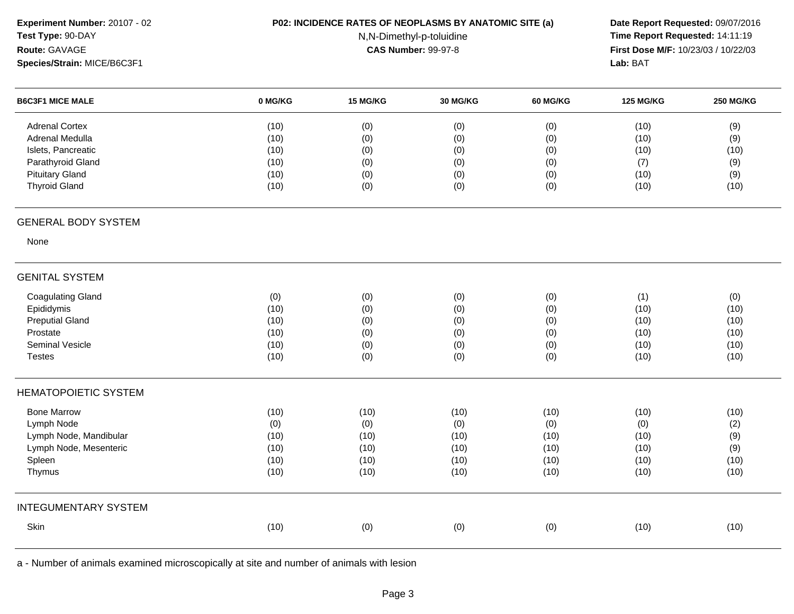| Experiment Number: 20107 - 02 |         | P02: INCIDENCE RATES OF NEOPLASMS BY ANATOMIC SITE (a)<br>Date Report Requested: 09/07/2016 |                            |          |                                     |                  |  |  |
|-------------------------------|---------|---------------------------------------------------------------------------------------------|----------------------------|----------|-------------------------------------|------------------|--|--|
| Test Type: 90-DAY             |         |                                                                                             | N,N-Dimethyl-p-toluidine   |          | Time Report Requested: 14:11:19     |                  |  |  |
| Route: GAVAGE                 |         |                                                                                             | <b>CAS Number: 99-97-8</b> |          | First Dose M/F: 10/23/03 / 10/22/03 |                  |  |  |
| Species/Strain: MICE/B6C3F1   |         |                                                                                             |                            |          | Lab: BAT                            |                  |  |  |
| <b>B6C3F1 MICE MALE</b>       | 0 MG/KG | 15 MG/KG                                                                                    | 30 MG/KG                   | 60 MG/KG | <b>125 MG/KG</b>                    | <b>250 MG/KG</b> |  |  |
| <b>Adrenal Cortex</b>         | (10)    | (0)                                                                                         | (0)                        | (0)      | (10)                                | (9)              |  |  |
| Adrenal Medulla               | (10)    | (0)                                                                                         | (0)                        | (0)      | (10)                                | (9)              |  |  |
| Islets, Pancreatic            | (10)    | (0)                                                                                         | (0)                        | (0)      | (10)                                | (10)             |  |  |
| Parathyroid Gland             | (10)    | (0)                                                                                         | (0)                        | (0)      | (7)                                 | (9)              |  |  |
| <b>Pituitary Gland</b>        | (10)    | (0)                                                                                         | (0)                        | (0)      | (10)                                | (9)              |  |  |
| <b>Thyroid Gland</b>          | (10)    | (0)                                                                                         | (0)                        | (0)      | (10)                                | (10)             |  |  |
| <b>GENERAL BODY SYSTEM</b>    |         |                                                                                             |                            |          |                                     |                  |  |  |
| None                          |         |                                                                                             |                            |          |                                     |                  |  |  |
| <b>GENITAL SYSTEM</b>         |         |                                                                                             |                            |          |                                     |                  |  |  |
| <b>Coagulating Gland</b>      | (0)     | (0)                                                                                         | (0)                        | (0)      | (1)                                 | (0)              |  |  |
| Epididymis                    | (10)    | (0)                                                                                         | (0)                        | (0)      | (10)                                | (10)             |  |  |
| <b>Preputial Gland</b>        | (10)    | (0)                                                                                         | (0)                        | (0)      | (10)                                | (10)             |  |  |
| Prostate                      | (10)    | (0)                                                                                         | (0)                        | (0)      | (10)                                | (10)             |  |  |
| Seminal Vesicle               | (10)    | (0)                                                                                         | (0)                        | (0)      | (10)                                | (10)             |  |  |
| <b>Testes</b>                 | (10)    | (0)                                                                                         | (0)                        | (0)      | (10)                                | (10)             |  |  |
| <b>HEMATOPOIETIC SYSTEM</b>   |         |                                                                                             |                            |          |                                     |                  |  |  |
| <b>Bone Marrow</b>            | (10)    | (10)                                                                                        | (10)                       | (10)     | (10)                                | (10)             |  |  |
| Lymph Node                    | (0)     | (0)                                                                                         | (0)                        | (0)      | (0)                                 | (2)              |  |  |
| Lymph Node, Mandibular        | (10)    | (10)                                                                                        | (10)                       | (10)     | (10)                                | (9)              |  |  |
| Lymph Node, Mesenteric        | (10)    | (10)                                                                                        | (10)                       | (10)     | (10)                                | (9)              |  |  |
| Spleen                        | (10)    | (10)                                                                                        | (10)                       | (10)     | (10)                                | (10)             |  |  |
| Thymus                        | (10)    | (10)                                                                                        | (10)                       | (10)     | (10)                                | (10)             |  |  |
| <b>INTEGUMENTARY SYSTEM</b>   |         |                                                                                             |                            |          |                                     |                  |  |  |
| Skin                          | (10)    | (0)                                                                                         | (0)                        | (0)      | (10)                                | (10)             |  |  |
|                               |         |                                                                                             |                            |          |                                     |                  |  |  |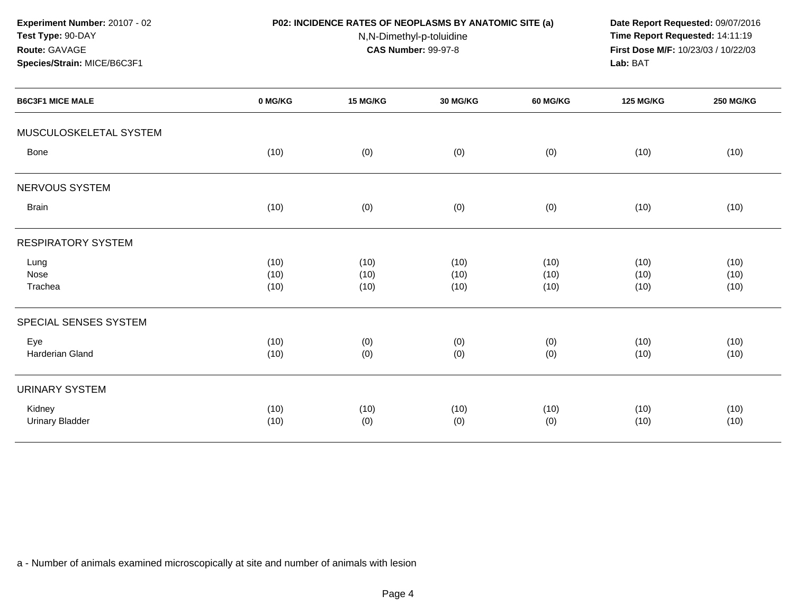**Experiment Number:** 20107 - 02**Test Type:** 90-DAY

**Species/Strain:** MICE/B6C3F1

**Route:** GAVAGE

## **P02: INCIDENCE RATES OF NEOPLASMS BY ANATOMIC SITE (a) Date Report Requested:** 09/07/2016

N,N-Dimethyl-p-toluidine

 **Time Report Requested:** 14:11:19 **First Dose M/F:** 10/23/03 / 10/22/03<br>**Lab:** BAT **Lab:** BAT

| <b>B6C3F1 MICE MALE</b>          | 0 MG/KG              | 15 MG/KG             | 30 MG/KG             | 60 MG/KG             | <b>125 MG/KG</b>     | <b>250 MG/KG</b>     |
|----------------------------------|----------------------|----------------------|----------------------|----------------------|----------------------|----------------------|
| MUSCULOSKELETAL SYSTEM           |                      |                      |                      |                      |                      |                      |
| Bone                             | (10)                 | (0)                  | (0)                  | (0)                  | (10)                 | (10)                 |
| NERVOUS SYSTEM                   |                      |                      |                      |                      |                      |                      |
| <b>Brain</b>                     | (10)                 | (0)                  | (0)                  | (0)                  | (10)                 | (10)                 |
| <b>RESPIRATORY SYSTEM</b>        |                      |                      |                      |                      |                      |                      |
| Lung<br>Nose<br>Trachea          | (10)<br>(10)<br>(10) | (10)<br>(10)<br>(10) | (10)<br>(10)<br>(10) | (10)<br>(10)<br>(10) | (10)<br>(10)<br>(10) | (10)<br>(10)<br>(10) |
| SPECIAL SENSES SYSTEM            |                      |                      |                      |                      |                      |                      |
| Eye<br>Harderian Gland           | (10)<br>(10)         | (0)<br>(0)           | (0)<br>(0)           | (0)<br>(0)           | (10)<br>(10)         | (10)<br>(10)         |
| <b>URINARY SYSTEM</b>            |                      |                      |                      |                      |                      |                      |
| Kidney<br><b>Urinary Bladder</b> | (10)<br>(10)         | (10)<br>(0)          | (10)<br>(0)          | (10)<br>(0)          | (10)<br>(10)         | (10)<br>(10)         |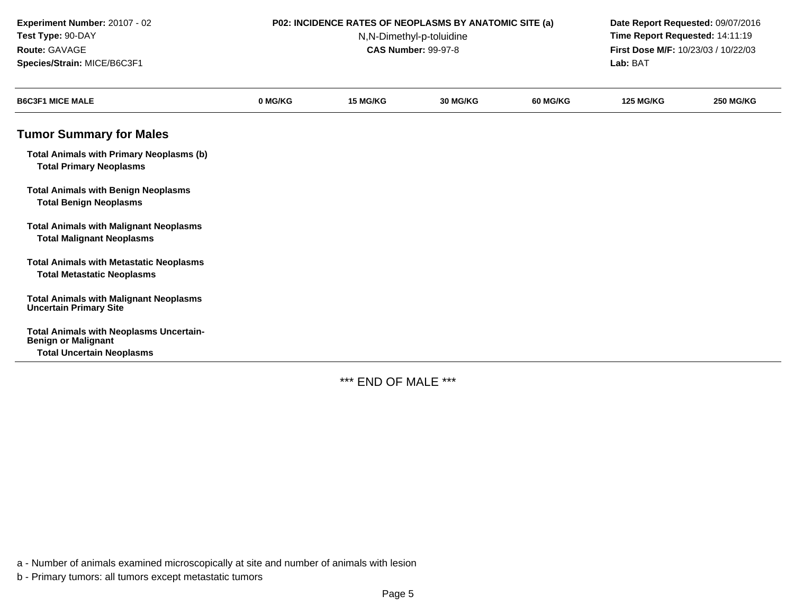| Experiment Number: 20107 - 02<br>Test Type: 90-DAY<br>Route: GAVAGE<br>Species/Strain: MICE/B6C3F1               |         | <b>P02: INCIDENCE RATES OF NEOPLASMS BY ANATOMIC SITE (a)</b><br>N,N-Dimethyl-p-toluidine<br><b>CAS Number: 99-97-8</b> | Date Report Requested: 09/07/2016<br>Time Report Requested: 14:11:19<br>First Dose M/F: 10/23/03 / 10/22/03<br>Lab: BAT |                 |                  |                  |
|------------------------------------------------------------------------------------------------------------------|---------|-------------------------------------------------------------------------------------------------------------------------|-------------------------------------------------------------------------------------------------------------------------|-----------------|------------------|------------------|
| <b>B6C3F1 MICE MALE</b>                                                                                          | 0 MG/KG | <b>15 MG/KG</b>                                                                                                         | 30 MG/KG                                                                                                                | <b>60 MG/KG</b> | <b>125 MG/KG</b> | <b>250 MG/KG</b> |
| <b>Tumor Summary for Males</b>                                                                                   |         |                                                                                                                         |                                                                                                                         |                 |                  |                  |
| <b>Total Animals with Primary Neoplasms (b)</b><br><b>Total Primary Neoplasms</b>                                |         |                                                                                                                         |                                                                                                                         |                 |                  |                  |
| <b>Total Animals with Benign Neoplasms</b><br><b>Total Benign Neoplasms</b>                                      |         |                                                                                                                         |                                                                                                                         |                 |                  |                  |
| <b>Total Animals with Malignant Neoplasms</b><br><b>Total Malignant Neoplasms</b>                                |         |                                                                                                                         |                                                                                                                         |                 |                  |                  |
| <b>Total Animals with Metastatic Neoplasms</b><br><b>Total Metastatic Neoplasms</b>                              |         |                                                                                                                         |                                                                                                                         |                 |                  |                  |
| <b>Total Animals with Malignant Neoplasms</b><br><b>Uncertain Primary Site</b>                                   |         |                                                                                                                         |                                                                                                                         |                 |                  |                  |
| <b>Total Animals with Neoplasms Uncertain-</b><br><b>Benign or Malignant</b><br><b>Total Uncertain Neoplasms</b> |         |                                                                                                                         |                                                                                                                         |                 |                  |                  |

\*\*\* END OF MALE \*\*\*

a - Number of animals examined microscopically at site and number of animals with lesion

b - Primary tumors: all tumors except metastatic tumors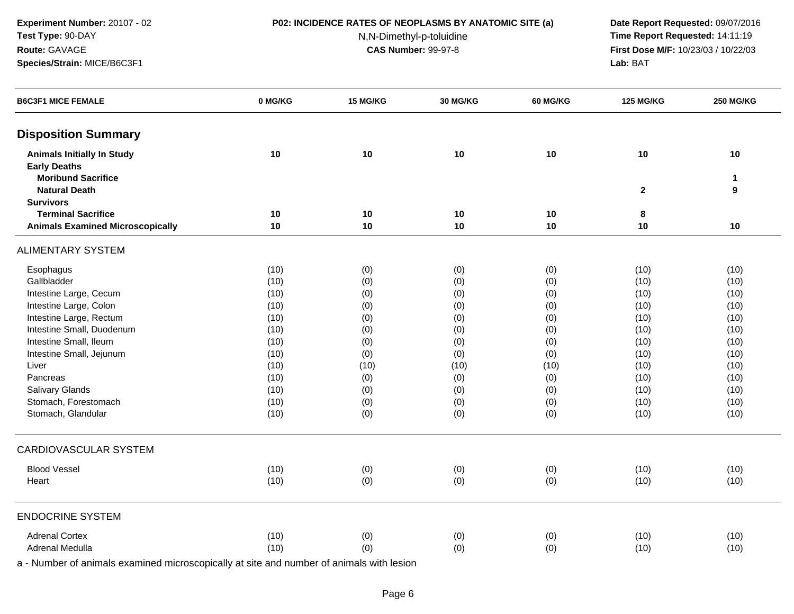### **P02: INCIDENCE RATES OF NEOPLASMS BY ANATOMIC SITE (a) Date Report Requested:** 09/07/2016

N,N-Dimethyl-p-toluidine

 **Time Report Requested:** 14:11:19 **First Dose M/F:** 10/23/03 / 10/22/03<br>**Lab:** BAT **Lab:** BAT

| <b>B6C3F1 MICE FEMALE</b>                                | 0 MG/KG | 15 MG/KG | 30 MG/KG | <b>60 MG/KG</b> | <b>125 MG/KG</b> | <b>250 MG/KG</b> |
|----------------------------------------------------------|---------|----------|----------|-----------------|------------------|------------------|
| <b>Disposition Summary</b>                               |         |          |          |                 |                  |                  |
| <b>Animals Initially In Study</b><br><b>Early Deaths</b> | 10      | 10       | 10       | 10              | 10               | 10               |
| <b>Moribund Sacrifice</b>                                |         |          |          |                 |                  | 1                |
| <b>Natural Death</b>                                     |         |          |          |                 | $\overline{2}$   | 9                |
| <b>Survivors</b>                                         |         |          |          |                 |                  |                  |
| <b>Terminal Sacrifice</b>                                | 10      | 10       | 10       | 10              | 8                |                  |
| <b>Animals Examined Microscopically</b>                  | 10      | 10       | 10       | 10              | 10               | 10               |
| <b>ALIMENTARY SYSTEM</b>                                 |         |          |          |                 |                  |                  |
| Esophagus                                                | (10)    | (0)      | (0)      | (0)             | (10)             | (10)             |
| Gallbladder                                              | (10)    | (0)      | (0)      | (0)             | (10)             | (10)             |
| Intestine Large, Cecum                                   | (10)    | (0)      | (0)      | (0)             | (10)             | (10)             |
| Intestine Large, Colon                                   | (10)    | (0)      | (0)      | (0)             | (10)             | (10)             |
| Intestine Large, Rectum                                  | (10)    | (0)      | (0)      | (0)             | (10)             | (10)             |
| Intestine Small, Duodenum                                | (10)    | (0)      | (0)      | (0)             | (10)             | (10)             |
| Intestine Small, Ileum                                   | (10)    | (0)      | (0)      | (0)             | (10)             | (10)             |
| Intestine Small, Jejunum                                 | (10)    | (0)      | (0)      | (0)             | (10)             | (10)             |
| Liver                                                    | (10)    | (10)     | (10)     | (10)            | (10)             | (10)             |
| Pancreas                                                 | (10)    | (0)      | (0)      | (0)             | (10)             | (10)             |
| Salivary Glands                                          | (10)    | (0)      | (0)      | (0)             | (10)             | (10)             |
| Stomach, Forestomach                                     | (10)    | (0)      | (0)      | (0)             | (10)             | (10)             |
| Stomach, Glandular                                       | (10)    | (0)      | (0)      | (0)             | (10)             | (10)             |
| <b>CARDIOVASCULAR SYSTEM</b>                             |         |          |          |                 |                  |                  |
| <b>Blood Vessel</b>                                      | (10)    | (0)      | (0)      | (0)             | (10)             | (10)             |
| Heart                                                    | (10)    | (0)      | (0)      | (0)             | (10)             | (10)             |
| <b>ENDOCRINE SYSTEM</b>                                  |         |          |          |                 |                  |                  |
| <b>Adrenal Cortex</b>                                    | (10)    | (0)      | (0)      | (0)             | (10)             | (10)             |
| Adrenal Medulla                                          | (10)    | (0)      | (0)      | (0)             | (10)             | (10)             |
|                                                          |         |          |          |                 |                  |                  |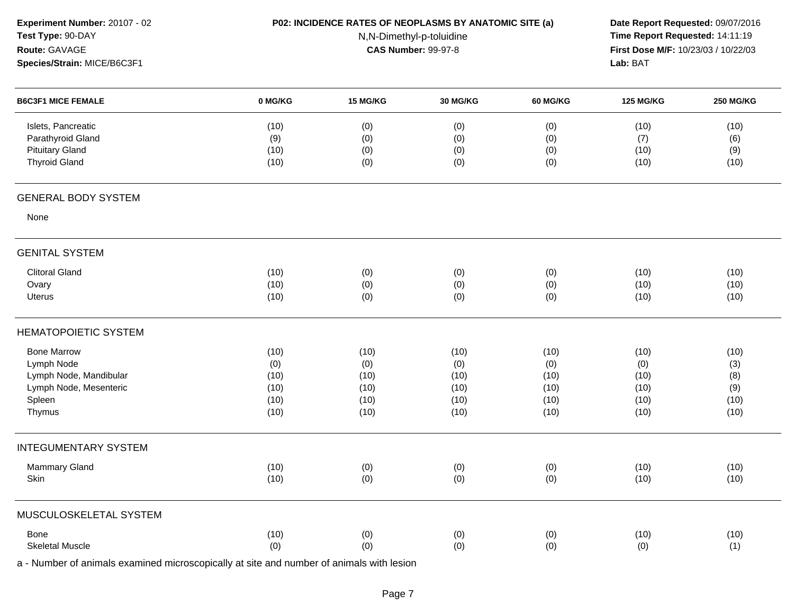| Experiment Number: 20107 - 02 |         |                            | P02: INCIDENCE RATES OF NEOPLASMS BY ANATOMIC SITE (a)<br>Date Report Requested: 09/07/2016 |          |                                     |                  |  |
|-------------------------------|---------|----------------------------|---------------------------------------------------------------------------------------------|----------|-------------------------------------|------------------|--|
| Test Type: 90-DAY             |         |                            | N,N-Dimethyl-p-toluidine                                                                    |          | Time Report Requested: 14:11:19     |                  |  |
| Route: GAVAGE                 |         | <b>CAS Number: 99-97-8</b> |                                                                                             |          | First Dose M/F: 10/23/03 / 10/22/03 |                  |  |
| Species/Strain: MICE/B6C3F1   |         |                            |                                                                                             |          | Lab: BAT                            |                  |  |
| <b>B6C3F1 MICE FEMALE</b>     | 0 MG/KG | 15 MG/KG                   | 30 MG/KG                                                                                    | 60 MG/KG | <b>125 MG/KG</b>                    | <b>250 MG/KG</b> |  |
| Islets, Pancreatic            | (10)    | (0)                        | (0)                                                                                         | (0)      | (10)                                | (10)             |  |
| Parathyroid Gland             | (9)     | (0)                        | (0)                                                                                         | (0)      | (7)                                 | (6)              |  |
| <b>Pituitary Gland</b>        | (10)    | (0)                        | (0)                                                                                         | (0)      | (10)                                | (9)              |  |
| <b>Thyroid Gland</b>          | (10)    | (0)                        | (0)                                                                                         | (0)      | (10)                                | (10)             |  |
| <b>GENERAL BODY SYSTEM</b>    |         |                            |                                                                                             |          |                                     |                  |  |
| None                          |         |                            |                                                                                             |          |                                     |                  |  |
| <b>GENITAL SYSTEM</b>         |         |                            |                                                                                             |          |                                     |                  |  |
| <b>Clitoral Gland</b>         | (10)    | (0)                        | (0)                                                                                         | (0)      | (10)                                | (10)             |  |
| Ovary                         | (10)    | (0)                        | (0)                                                                                         | (0)      | (10)                                | (10)             |  |
| <b>Uterus</b>                 | (10)    | (0)                        | (0)                                                                                         | (0)      | (10)                                | (10)             |  |
| HEMATOPOIETIC SYSTEM          |         |                            |                                                                                             |          |                                     |                  |  |
| <b>Bone Marrow</b>            | (10)    | (10)                       | (10)                                                                                        | (10)     | (10)                                | (10)             |  |
| Lymph Node                    | (0)     | (0)                        | (0)                                                                                         | (0)      | (0)                                 | (3)              |  |
| Lymph Node, Mandibular        | (10)    | (10)                       | (10)                                                                                        | (10)     | (10)                                | (8)              |  |
| Lymph Node, Mesenteric        | (10)    | (10)                       | (10)                                                                                        | (10)     | (10)                                | (9)              |  |
| Spleen                        | (10)    | (10)                       | (10)                                                                                        | (10)     | (10)                                | (10)             |  |
| Thymus                        | (10)    | (10)                       | (10)                                                                                        | (10)     | (10)                                | (10)             |  |
| <b>INTEGUMENTARY SYSTEM</b>   |         |                            |                                                                                             |          |                                     |                  |  |
| Mammary Gland                 | (10)    | (0)                        | (0)                                                                                         | (0)      | (10)                                | (10)             |  |
| Skin                          | (10)    | (0)                        | (0)                                                                                         | (0)      | (10)                                | (10)             |  |
| MUSCULOSKELETAL SYSTEM        |         |                            |                                                                                             |          |                                     |                  |  |
| Bone                          | (10)    | (0)                        | (0)                                                                                         | (0)      | (10)                                | (10)             |  |
| <b>Skeletal Muscle</b>        | (0)     | (0)                        | (0)                                                                                         | (0)      | (0)                                 | (1)              |  |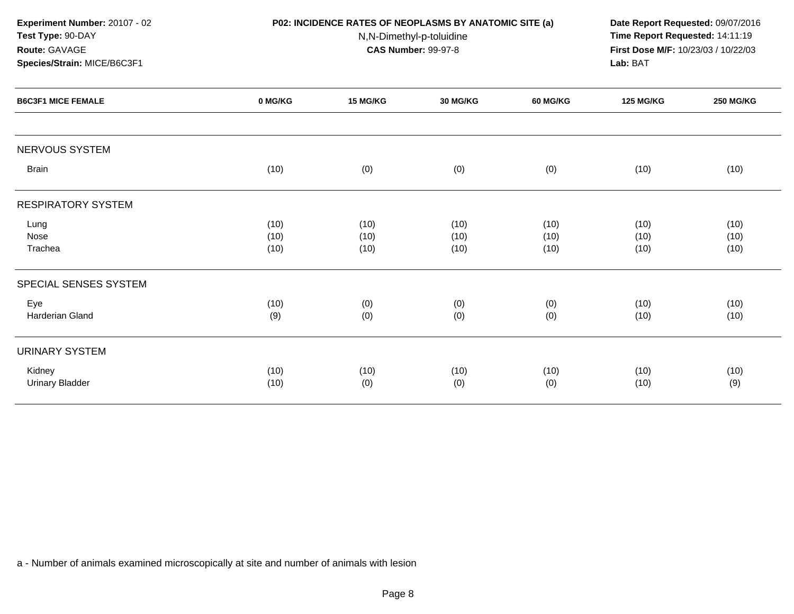| Experiment Number: 20107 - 02<br>Test Type: 90-DAY<br>Route: GAVAGE |         |          | P02: INCIDENCE RATES OF NEOPLASMS BY ANATOMIC SITE (a)<br>Date Report Requested: 09/07/2016<br>Time Report Requested: 14:11:19<br>N,N-Dimethyl-p-toluidine<br><b>CAS Number: 99-97-8</b><br>First Dose M/F: 10/23/03 / 10/22/03<br>Lab: BAT |                 |                  |                                                                  |
|---------------------------------------------------------------------|---------|----------|---------------------------------------------------------------------------------------------------------------------------------------------------------------------------------------------------------------------------------------------|-----------------|------------------|------------------------------------------------------------------|
| Species/Strain: MICE/B6C3F1                                         |         |          |                                                                                                                                                                                                                                             |                 |                  | <b>250 MG/KG</b><br>(10)<br>(10)<br>(10)<br>(10)<br>(10)<br>(10) |
| <b>B6C3F1 MICE FEMALE</b>                                           | 0 MG/KG | 15 MG/KG | <b>30 MG/KG</b>                                                                                                                                                                                                                             | <b>60 MG/KG</b> | <b>125 MG/KG</b> |                                                                  |
| NERVOUS SYSTEM                                                      |         |          |                                                                                                                                                                                                                                             |                 |                  |                                                                  |
| <b>Brain</b>                                                        | (10)    | (0)      | (0)                                                                                                                                                                                                                                         | (0)             | (10)             |                                                                  |
| <b>RESPIRATORY SYSTEM</b>                                           |         |          |                                                                                                                                                                                                                                             |                 |                  |                                                                  |
| Lung                                                                | (10)    | (10)     | (10)                                                                                                                                                                                                                                        | (10)            | (10)             |                                                                  |
| Nose                                                                | (10)    | (10)     | (10)                                                                                                                                                                                                                                        | (10)            | (10)             |                                                                  |
| Trachea                                                             | (10)    | (10)     | (10)                                                                                                                                                                                                                                        | (10)            | (10)             |                                                                  |
| SPECIAL SENSES SYSTEM                                               |         |          |                                                                                                                                                                                                                                             |                 |                  |                                                                  |
| Eye                                                                 | (10)    | (0)      | (0)                                                                                                                                                                                                                                         | (0)             | (10)             |                                                                  |
| <b>Harderian Gland</b>                                              | (9)     | (0)      | (0)                                                                                                                                                                                                                                         | (0)             | (10)             |                                                                  |
| <b>URINARY SYSTEM</b>                                               |         |          |                                                                                                                                                                                                                                             |                 |                  |                                                                  |
| Kidney                                                              | (10)    | (10)     | (10)                                                                                                                                                                                                                                        | (10)            | (10)             | (10)                                                             |
| <b>Urinary Bladder</b>                                              | (10)    | (0)      | (0)                                                                                                                                                                                                                                         | (0)             | (10)             | (9)                                                              |